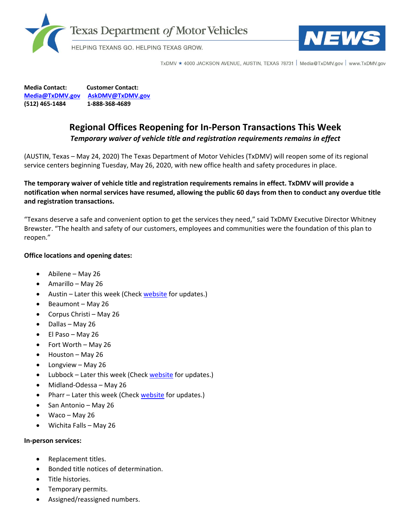



TxDMV ★ 4000 JACKSON AVENUE, AUSTIN, TEXAS 78731 | Media@TxDMV.gov | www.TxDMV.gov

**Media Contact: Customer Contact: [Media@TxDMV.gov](mailto:Media@TxDMV.gov) [AskDMV@TxDMV.gov](mailto:AskDMV@TxDMV.gov) (512) 465-1484 1-888-368-4689**

## **Regional Offices Reopening for In-Person Transactions This Week** *Temporary waiver of vehicle title and registration requirements remains in effect*

(AUSTIN, Texas – May 24, 2020) The Texas Department of Motor Vehicles (TxDMV) will reopen some of its regional service centers beginning Tuesday, May 26, 2020, with new office health and safety procedures in place.

**The temporary waiver of vehicle title and registration requirements remains in effect. TxDMV will provide a notification when normal services have resumed, allowing the public 60 days from then to conduct any overdue title and registration transactions.**

"Texans deserve a safe and convenient option to get the services they need," said TxDMV Executive Director Whitney Brewster. "The health and safety of our customers, employees and communities were the foundation of this plan to reopen."

## **Office locations and opening dates:**

- Abilene May 26
- Amarillo May 26
- Austin Later this week (Check [website](http://www.txdmv.gov/) for updates.)
- Beaumont May 26
- Corpus Christi May 26
- Dallas May 26
- El Paso May 26
- Fort Worth May 26
- Houston May 26
- Longview May 26
- Lubbock Later this week (Check [website](http://www.txdmv.gov/) for updates.)
- Midland-Odessa May 26
- Pharr Later this week (Check [website](http://www.txdmv.gov/) for updates.)
- San Antonio May 26
- Waco May 26
- Wichita Falls May 26

## **In-person services:**

- Replacement titles.
- Bonded title notices of determination.
- Title histories.
- Temporary permits.
- Assigned/reassigned numbers.